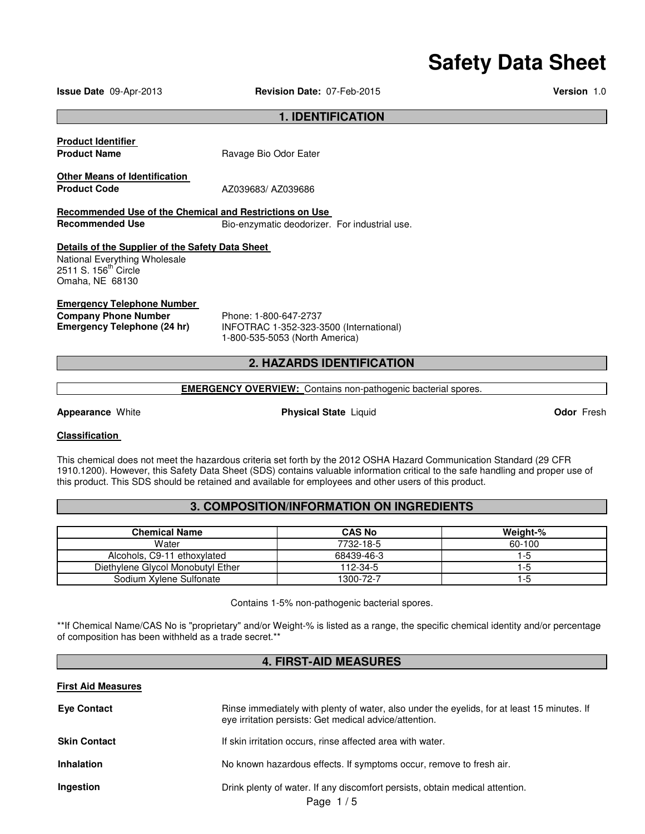# **Safety Data Sheet**

**Issue Date** 09-Apr-2013 **Revision Date:** 07-Feb-2015 **Version** 1.0

### **1. IDENTIFICATION**

| <b>Product Identifier</b><br><b>Product Name</b>                                                                                         | Ravage Bio Odor Eater                                            |
|------------------------------------------------------------------------------------------------------------------------------------------|------------------------------------------------------------------|
| <b>Other Means of Identification</b><br><b>Product Code</b>                                                                              | AZ039683/AZ039686                                                |
| Recommended Use of the Chemical and Restrictions on Use                                                                                  |                                                                  |
| <b>Recommended Use</b>                                                                                                                   | Bio-enzymatic deodorizer. For industrial use.                    |
| Details of the Supplier of the Safety Data Sheet<br>National Everything Wholesale<br>2511 S. 156 <sup>th</sup> Circle<br>Omaha, NE 68130 |                                                                  |
| <b>Emergency Telephone Number</b><br><b>Company Phone Number</b><br>Emergency Telephone (24 hr)                                          | Phone: 1-800-647-2737<br>INFOTRAC 1-352-323-3500 (International) |

# **2. HAZARDS IDENTIFICATION**

1-800-535-5053 (North America)

#### **EMERGENCY OVERVIEW:** Contains non-pathogenic bacterial spores.

**Appearance** White **Physical State** Liquid **Odor** Fresh

#### **Classification**

This chemical does not meet the hazardous criteria set forth by the 2012 OSHA Hazard Communication Standard (29 CFR 1910.1200). However, this Safety Data Sheet (SDS) contains valuable information critical to the safe handling and proper use of this product. This SDS should be retained and available for employees and other users of this product.

# **3. COMPOSITION/INFORMATION ON INGREDIENTS**

| <b>Chemical Name</b>              | <b>CAS No</b> | Weight-% |
|-----------------------------------|---------------|----------|
| Water                             | 7732-18-5     | 60-100   |
| Alcohols, C9-11 ethoxylated       | 68439-46-3    | 1-5      |
| Diethylene Glycol Monobutyl Ether | 112-34-5      | 1-5      |
| Sodium Xylene Sulfonate           | 1300-72-7     | 1-5      |

Contains 1-5% non-pathogenic bacterial spores.

\*\*If Chemical Name/CAS No is "proprietary" and/or Weight-% is listed as a range, the specific chemical identity and/or percentage of composition has been withheld as a trade secret.\*\*

# **4. FIRST-AID MEASURES**

#### **First Aid Measures**

| <b>Eye Contact</b>  | Rinse immediately with plenty of water, also under the eyelids, for at least 15 minutes. If<br>eye irritation persists: Get medical advice/attention. |
|---------------------|-------------------------------------------------------------------------------------------------------------------------------------------------------|
| <b>Skin Contact</b> | If skin irritation occurs, rinse affected area with water.                                                                                            |
| <b>Inhalation</b>   | No known hazardous effects. If symptoms occur, remove to fresh air.                                                                                   |
| Ingestion           | Drink plenty of water. If any discomfort persists, obtain medical attention.<br>Page $1/5$                                                            |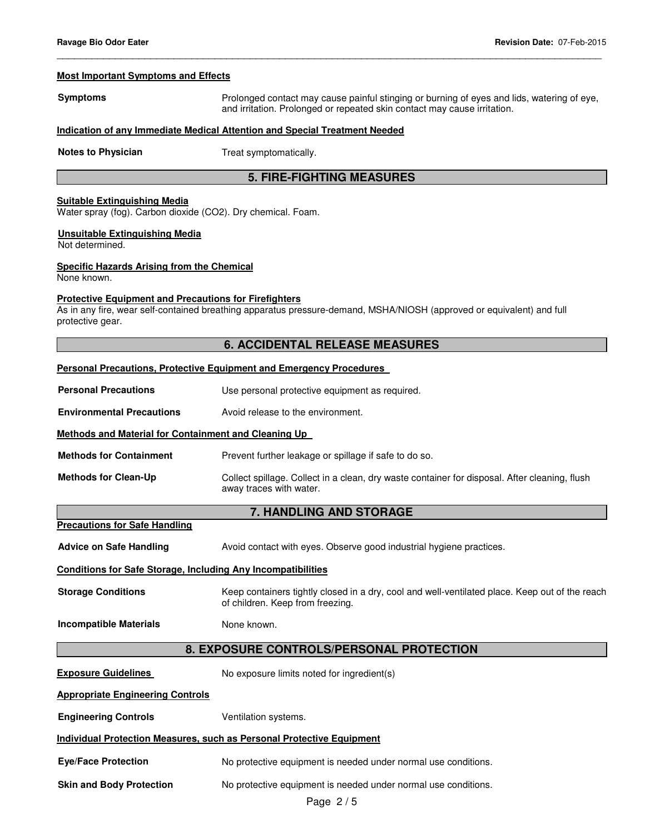#### **Most Important Symptoms and Effects**

**Symptoms** Prolonged contact may cause painful stinging or burning of eyes and lids, watering of eye, and irritation. Prolonged or repeated skin contact may cause irritation.

#### **Indication of any Immediate Medical Attention and Special Treatment Needed**

**Notes to Physician Treat symptomatically.** 

# **5. FIRE-FIGHTING MEASURES**

\_\_\_\_\_\_\_\_\_\_\_\_\_\_\_\_\_\_\_\_\_\_\_\_\_\_\_\_\_\_\_\_\_\_\_\_\_\_\_\_\_\_\_\_\_\_\_\_\_\_\_\_\_\_\_\_\_\_\_\_\_\_\_\_\_\_\_\_\_\_\_\_\_\_\_\_\_\_\_\_\_\_\_\_\_\_\_\_\_\_\_\_\_

#### **Suitable Extinguishing Media**

Water spray (fog). Carbon dioxide (CO2). Dry chemical. Foam.

#### **Unsuitable Extinguishing Media**

Not determined.

#### **Specific Hazards Arising from the Chemical**

None known.

#### **Protective Equipment and Precautions for Firefighters**

As in any fire, wear self-contained breathing apparatus pressure-demand, MSHA/NIOSH (approved or equivalent) and full protective gear.

### **6. ACCIDENTAL RELEASE MEASURES**

#### **Personal Precautions, Protective Equipment and Emergency Procedures**

**Personal Precautions Use personal protective equipment as required.** 

**Environmental Precautions** Avoid release to the environment.

#### **Methods and Material for Containment and Cleaning Up**

**Methods for Containment** Prevent further leakage or spillage if safe to do so.

**Methods for Clean-Up Collect spillage. Collect in a clean, dry waste container for disposal. After cleaning, flush** away traces with water.

#### **7. HANDLING AND STORAGE**

**Precautions for Safe Handling**

**Advice on Safe Handling <b>Avoid** contact with eyes. Observe good industrial hygiene practices.

#### **Conditions for Safe Storage, Including Any Incompatibilities**

**Storage Conditions** Keep containers tightly closed in a dry, cool and well-ventilated place. Keep out of the reach of children. Keep from freezing.

**Incompatible Materials None known.** 

# **8. EXPOSURE CONTROLS/PERSONAL PROTECTION**

**Exposure Guidelines** No exposure limits noted for ingredient(s)

**Appropriate Engineering Controls**

**Engineering Controls Ventilation systems.** 

### **Individual Protection Measures, such as Personal Protective Equipment**

**Eye/Face Protection** No protective equipment is needed under normal use conditions.

**Skin and Body Protection No protective equipment is needed under normal use conditions.**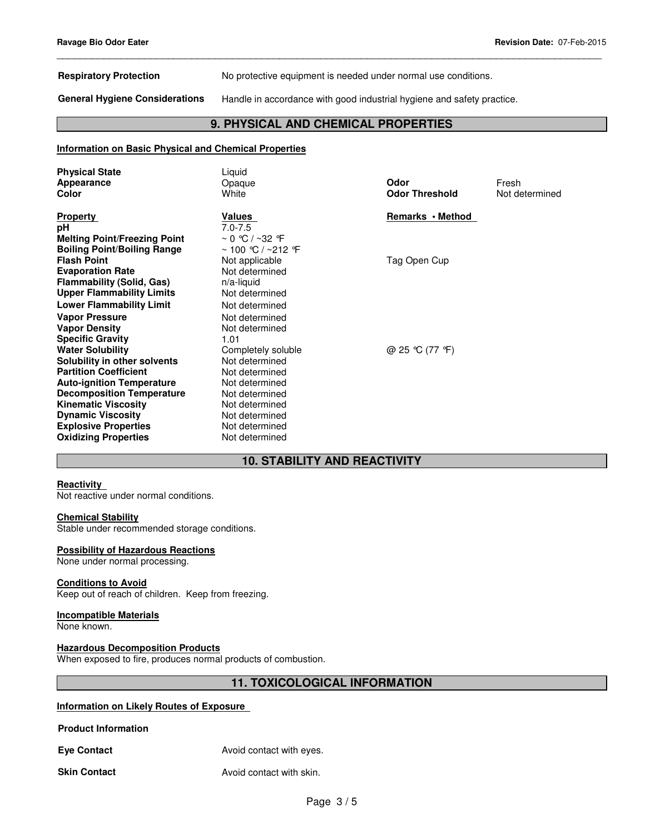**Respiratory Protection** No protective equipment is needed under normal use conditions.

**General Hygiene Considerations** Handle in accordance with good industrial hygiene and safety practice.

# **9. PHYSICAL AND CHEMICAL PROPERTIES**

\_\_\_\_\_\_\_\_\_\_\_\_\_\_\_\_\_\_\_\_\_\_\_\_\_\_\_\_\_\_\_\_\_\_\_\_\_\_\_\_\_\_\_\_\_\_\_\_\_\_\_\_\_\_\_\_\_\_\_\_\_\_\_\_\_\_\_\_\_\_\_\_\_\_\_\_\_\_\_\_\_\_\_\_\_\_\_\_\_\_\_\_\_

#### **Information on Basic Physical and Chemical Properties**

| <b>Physical State</b><br>Appearance<br>Color            | Liquid<br>Opaque<br>White        | Odor<br><b>Odor Threshold</b> | Fresh<br>Not determined |
|---------------------------------------------------------|----------------------------------|-------------------------------|-------------------------|
| <b>Property</b><br>рH                                   | <b>Values</b><br>$7.0 - 7.5$     | Remarks • Method              |                         |
| <b>Melting Point/Freezing Point</b>                     | $\sim 0$ °C / ~32 °F             |                               |                         |
| <b>Boiling Point/Boiling Range</b>                      | ~ 100 ℃ / ~212 ℉                 |                               |                         |
| <b>Flash Point</b>                                      | Not applicable                   | Tag Open Cup                  |                         |
| <b>Evaporation Rate</b>                                 | Not determined                   |                               |                         |
| <b>Flammability (Solid, Gas)</b>                        | $n/a$ -liquid                    |                               |                         |
| <b>Upper Flammability Limits</b>                        | Not determined                   |                               |                         |
| <b>Lower Flammability Limit</b>                         | Not determined                   |                               |                         |
| <b>Vapor Pressure</b>                                   | Not determined                   |                               |                         |
| <b>Vapor Density</b>                                    | Not determined                   |                               |                         |
| <b>Specific Gravity</b>                                 | 1.01                             |                               |                         |
| <b>Water Solubility</b>                                 | Completely soluble               | @ 25 °C (77 °F)               |                         |
| Solubility in other solvents                            | Not determined                   |                               |                         |
| <b>Partition Coefficient</b>                            | Not determined                   |                               |                         |
| <b>Auto-ignition Temperature</b>                        | Not determined                   |                               |                         |
| <b>Decomposition Temperature</b>                        | Not determined                   |                               |                         |
| <b>Kinematic Viscosity</b>                              | Not determined                   |                               |                         |
| <b>Dynamic Viscosity</b><br><b>Explosive Properties</b> | Not determined<br>Not determined |                               |                         |
| <b>Oxidizing Properties</b>                             | Not determined                   |                               |                         |
|                                                         |                                  |                               |                         |

# **10. STABILITY AND REACTIVITY**

#### **Reactivity**

Not reactive under normal conditions.

#### **Chemical Stability**

Stable under recommended storage conditions.

#### **Possibility of Hazardous Reactions**

None under normal processing.

#### **Conditions to Avoid**

Keep out of reach of children. Keep from freezing.

#### **Incompatible Materials**

None known.

### **Hazardous Decomposition Products**

When exposed to fire, produces normal products of combustion.

# **11. TOXICOLOGICAL INFORMATION**

### **Information on Likely Routes of Exposure**

**Product Information** 

**Eye Contact Avoid contact with eyes.** 

**Skin Contact Avoid contact with skin.**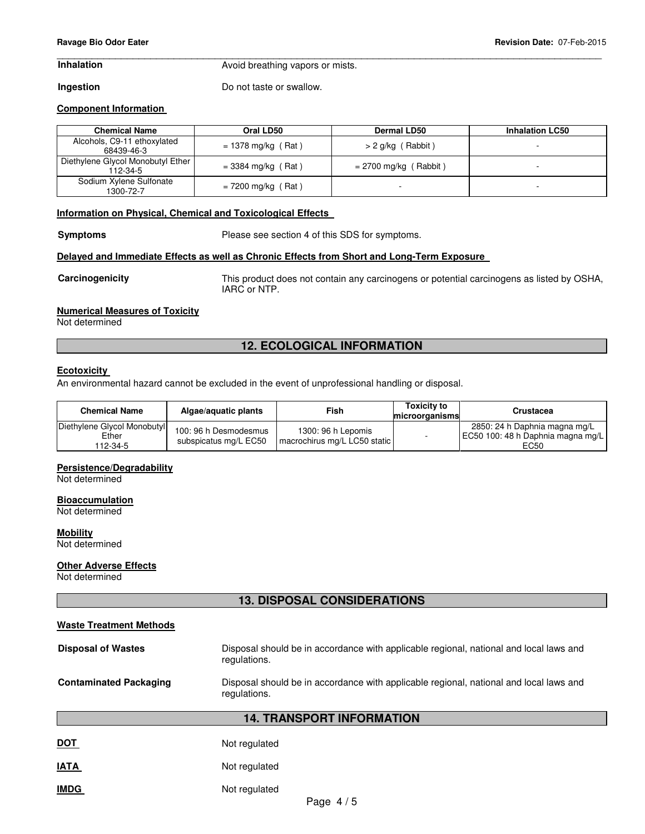# \_\_\_\_\_\_\_\_\_\_\_\_\_\_\_\_\_\_\_\_\_\_\_\_\_\_\_\_\_\_\_\_\_\_\_\_\_\_\_\_\_\_\_\_\_\_\_\_\_\_\_\_\_\_\_\_\_\_\_\_\_\_\_\_\_\_\_\_\_\_\_\_\_\_\_\_\_\_\_\_\_\_\_\_\_\_\_\_\_\_\_\_\_

**Inhalation Avoid breathing vapors or mists.** 

**Ingestion Do not taste or swallow.** 

### **Component Information**

| <b>Chemical Name</b>                          | Oral LD50            | <b>Dermal LD50</b>      | <b>Inhalation LC50</b> |
|-----------------------------------------------|----------------------|-------------------------|------------------------|
| Alcohols, C9-11 ethoxylated<br>68439-46-3     | $= 1378$ mg/kg (Rat) | $> 2$ g/kg (Rabbit)     |                        |
| Diethylene Glycol Monobutyl Ether<br>112-34-5 | $=$ 3384 mg/kg (Rat) | $= 2700$ mg/kg (Rabbit) |                        |
| Sodium Xylene Sulfonate<br>1300-72-7          | $= 7200$ mg/kg (Rat) |                         |                        |

#### **Information on Physical, Chemical and Toxicological Effects**

**Symptoms** Please see section 4 of this SDS for symptoms.

#### **Delayed and Immediate Effects as well as Chronic Effects from Short and Long-Term Exposure**

**Carcinogenicity** This product does not contain any carcinogens or potential carcinogens as listed by OSHA, IARC or NTP.

#### **Numerical Measures of Toxicity**

Not determined

## **12. ECOLOGICAL INFORMATION**

#### **Ecotoxicity**

An environmental hazard cannot be excluded in the event of unprofessional handling or disposal.

| <b>Chemical Name</b>                             | Algae/aguatic plants                           | Fish                                               | <b>Toxicity to</b><br>microorganisms | Crustacea                                                                  |
|--------------------------------------------------|------------------------------------------------|----------------------------------------------------|--------------------------------------|----------------------------------------------------------------------------|
| Diethylene Glycol Monobutyl<br>Ether<br>112-34-5 | 100: 96 h Desmodesmus<br>subspicatus mg/L EC50 | 1300: 96 h Lepomis<br>macrochirus mg/L LC50 static |                                      | 2850: 24 h Daphnia magna mg/L<br>EC50 100: 48 h Daphnia magna mg/L<br>EC50 |

#### **Persistence/Degradability**

Not determined

#### **Bioaccumulation**

Not determined

#### **Mobility**

Not determined

#### **Other Adverse Effects**

Not determined

# **13. DISPOSAL CONSIDERATIONS**

| <b>Waste Treatment Methods</b>                                                                                                          |                                                                                                        |  |
|-----------------------------------------------------------------------------------------------------------------------------------------|--------------------------------------------------------------------------------------------------------|--|
| <b>Disposal of Wastes</b>                                                                                                               | Disposal should be in accordance with applicable regional, national and local laws and<br>regulations. |  |
| <b>Contaminated Packaging</b><br>Disposal should be in accordance with applicable regional, national and local laws and<br>regulations. |                                                                                                        |  |
|                                                                                                                                         | <b>14. TRANSPORT INFORMATION</b>                                                                       |  |
| <b>DOT</b>                                                                                                                              | Not regulated                                                                                          |  |
| <b>IATA</b>                                                                                                                             | Not regulated                                                                                          |  |
| <b>IMDG</b>                                                                                                                             | Not regulated                                                                                          |  |